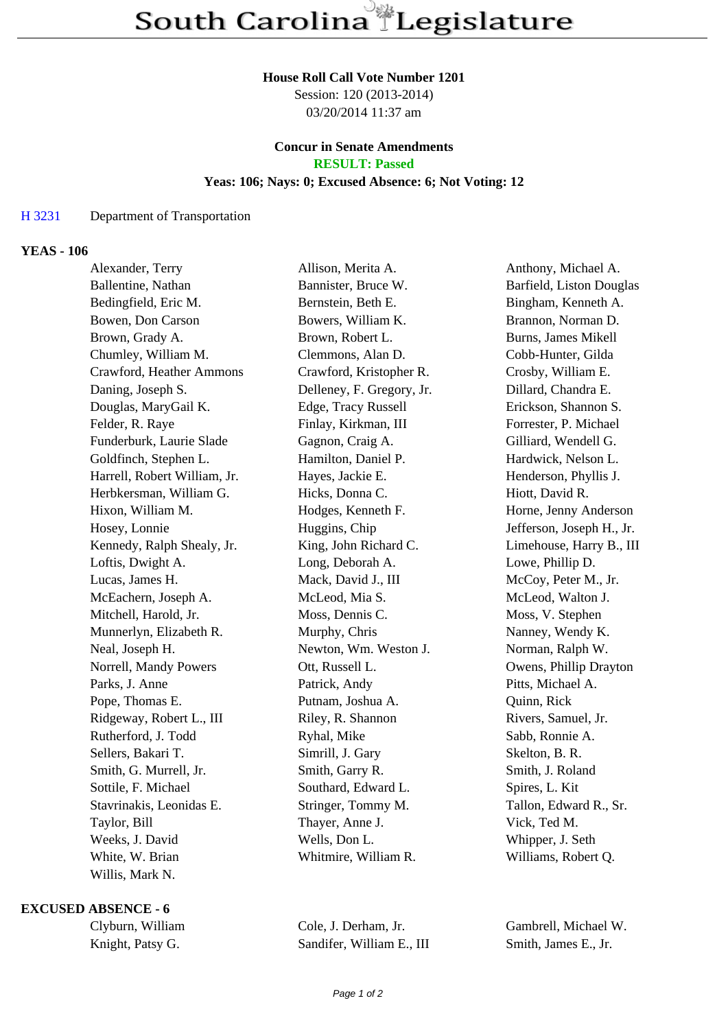#### **House Roll Call Vote Number 1201**

Session: 120 (2013-2014) 03/20/2014 11:37 am

### **Concur in Senate Amendments RESULT: Passed**

#### **Yeas: 106; Nays: 0; Excused Absence: 6; Not Voting: 12**

# H 3231 Department of Transportation

## **YEAS - 106**

| Alexander, Terry             | Allison, Merita A.        | Anthony, Michael A.       |
|------------------------------|---------------------------|---------------------------|
| Ballentine, Nathan           | Bannister, Bruce W.       | Barfield, Liston Douglas  |
| Bedingfield, Eric M.         | Bernstein, Beth E.        | Bingham, Kenneth A.       |
| Bowen, Don Carson            | Bowers, William K.        | Brannon, Norman D.        |
| Brown, Grady A.              | Brown, Robert L.          | Burns, James Mikell       |
| Chumley, William M.          | Clemmons, Alan D.         | Cobb-Hunter, Gilda        |
| Crawford, Heather Ammons     | Crawford, Kristopher R.   | Crosby, William E.        |
| Daning, Joseph S.            | Delleney, F. Gregory, Jr. | Dillard, Chandra E.       |
| Douglas, MaryGail K.         | Edge, Tracy Russell       | Erickson, Shannon S.      |
| Felder, R. Raye              | Finlay, Kirkman, III      | Forrester, P. Michael     |
| Funderburk, Laurie Slade     | Gagnon, Craig A.          | Gilliard, Wendell G.      |
| Goldfinch, Stephen L.        | Hamilton, Daniel P.       | Hardwick, Nelson L.       |
| Harrell, Robert William, Jr. | Hayes, Jackie E.          | Henderson, Phyllis J.     |
| Herbkersman, William G.      | Hicks, Donna C.           | Hiott, David R.           |
| Hixon, William M.            | Hodges, Kenneth F.        | Horne, Jenny Anderson     |
| Hosey, Lonnie                | Huggins, Chip             | Jefferson, Joseph H., Jr. |
| Kennedy, Ralph Shealy, Jr.   | King, John Richard C.     | Limehouse, Harry B., III  |
| Loftis, Dwight A.            | Long, Deborah A.          | Lowe, Phillip D.          |
| Lucas, James H.              | Mack, David J., III       | McCoy, Peter M., Jr.      |
| McEachern, Joseph A.         | McLeod, Mia S.            | McLeod, Walton J.         |
| Mitchell, Harold, Jr.        | Moss, Dennis C.           | Moss, V. Stephen          |
| Munnerlyn, Elizabeth R.      | Murphy, Chris             | Nanney, Wendy K.          |
| Neal, Joseph H.              | Newton, Wm. Weston J.     | Norman, Ralph W.          |
| Norrell, Mandy Powers        | Ott, Russell L.           | Owens, Phillip Drayton    |
| Parks, J. Anne               | Patrick, Andy             | Pitts, Michael A.         |
| Pope, Thomas E.              | Putnam, Joshua A.         | Quinn, Rick               |
| Ridgeway, Robert L., III     | Riley, R. Shannon         | Rivers, Samuel, Jr.       |
| Rutherford, J. Todd          | Ryhal, Mike               | Sabb, Ronnie A.           |
| Sellers, Bakari T.           | Simrill, J. Gary          | Skelton, B. R.            |
| Smith, G. Murrell, Jr.       | Smith, Garry R.           | Smith, J. Roland          |
| Sottile, F. Michael          | Southard, Edward L.       | Spires, L. Kit            |
| Stavrinakis, Leonidas E.     | Stringer, Tommy M.        | Tallon, Edward R., Sr.    |
| Taylor, Bill                 | Thayer, Anne J.           | Vick, Ted M.              |
| Weeks, J. David              | Wells, Don L.             | Whipper, J. Seth          |
| White, W. Brian              | Whitmire, William R.      | Williams, Robert Q.       |
| Willis, Mark N.              |                           |                           |

## **EXCUSED ABSENCE - 6**

Knight, Patsy G. Sandifer, William E., III Smith, James E., Jr.

Clyburn, William Cole, J. Derham, Jr. Gambrell, Michael W.